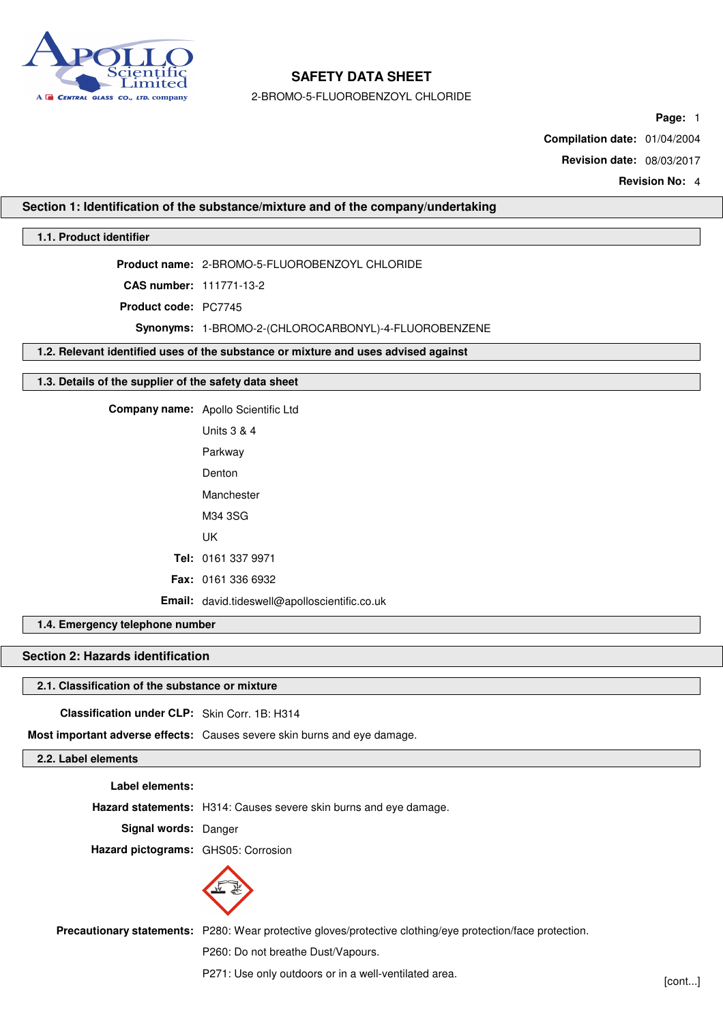

2-BROMO-5-FLUOROBENZOYL CHLORIDE

**Page:** 1

**Compilation date:** 01/04/2004

**Revision date:** 08/03/2017

**Revision No:** 4

## **Section 1: Identification of the substance/mixture and of the company/undertaking**

# **1.1. Product identifier**

**Product name:** 2-BROMO-5-FLUOROBENZOYL CHLORIDE

**CAS number:** 111771-13-2

**Product code:** PC7745

**Synonyms:** 1-BROMO-2-(CHLOROCARBONYL)-4-FLUOROBENZENE

**1.2. Relevant identified uses of the substance or mixture and uses advised against**

## **1.3. Details of the supplier of the safety data sheet**

**Company name:** Apollo Scientific Ltd

Units 3 & 4 Parkway Denton Manchester M34 3SG UK **Tel:** 0161 337 9971 **Fax:** 0161 336 6932 **Email:** david.tideswell@apolloscientific.co.uk

**1.4. Emergency telephone number**

# **Section 2: Hazards identification**

# **2.1. Classification of the substance or mixture**

**Classification under CLP:** Skin Corr. 1B: H314

**Most important adverse effects:** Causes severe skin burns and eye damage.

# **2.2. Label elements**

**Label elements:**

**Hazard statements:** H314: Causes severe skin burns and eye damage.

**Signal words:** Danger

**Hazard pictograms:** GHS05: Corrosion



**Precautionary statements:** P280: Wear protective gloves/protective clothing/eye protection/face protection.

P260: Do not breathe Dust/Vapours.

P271: Use only outdoors or in a well-ventilated area.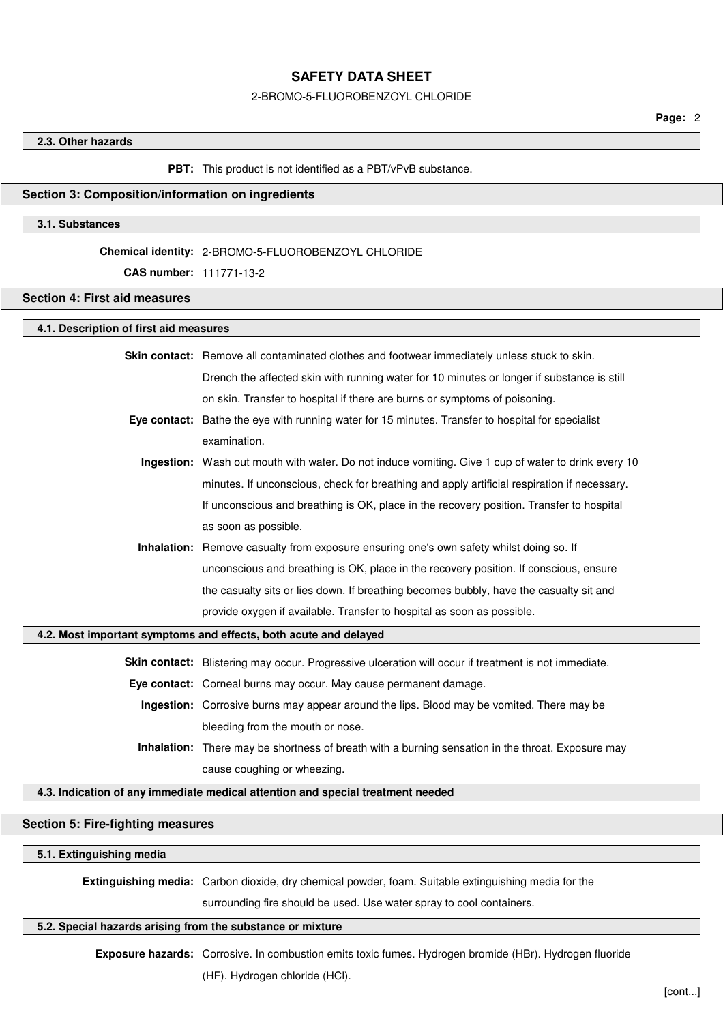### 2-BROMO-5-FLUOROBENZOYL CHLORIDE

### **2.3. Other hazards**

#### **PBT:** This product is not identified as a PBT/vPvB substance.

## **Section 3: Composition/information on ingredients**

## **3.1. Substances**

#### **Chemical identity:** 2-BROMO-5-FLUOROBENZOYL CHLORIDE

## **CAS number:** 111771-13-2

## **Section 4: First aid measures**

# **4.1. Description of first aid measures**

**Skin contact:** Remove all contaminated clothes and footwear immediately unless stuck to skin. Drench the affected skin with running water for 10 minutes or longer if substance is still on skin. Transfer to hospital if there are burns or symptoms of poisoning.

- **Eye contact:** Bathe the eye with running water for 15 minutes. Transfer to hospital for specialist examination.
	- **Ingestion:** Wash out mouth with water. Do not induce vomiting. Give 1 cup of water to drink every 10 minutes. If unconscious, check for breathing and apply artificial respiration if necessary. If unconscious and breathing is OK, place in the recovery position. Transfer to hospital as soon as possible.
	- **Inhalation:** Remove casualty from exposure ensuring one's own safety whilst doing so. If unconscious and breathing is OK, place in the recovery position. If conscious, ensure the casualty sits or lies down. If breathing becomes bubbly, have the casualty sit and provide oxygen if available. Transfer to hospital as soon as possible.

### **4.2. Most important symptoms and effects, both acute and delayed**

**Skin contact:** Blistering may occur. Progressive ulceration will occur if treatment is not immediate.

**Eye contact:** Corneal burns may occur. May cause permanent damage.

- **Ingestion:** Corrosive burns may appear around the lips. Blood may be vomited. There may be bleeding from the mouth or nose.
- **Inhalation:** There may be shortness of breath with a burning sensation in the throat. Exposure may cause coughing or wheezing.

### **4.3. Indication of any immediate medical attention and special treatment needed**

## **Section 5: Fire-fighting measures**

#### **5.1. Extinguishing media**

**Extinguishing media:** Carbon dioxide, dry chemical powder, foam. Suitable extinguishing media for the

surrounding fire should be used. Use water spray to cool containers.

## **5.2. Special hazards arising from the substance or mixture**

**Exposure hazards:** Corrosive. In combustion emits toxic fumes. Hydrogen bromide (HBr). Hydrogen fluoride (HF). Hydrogen chloride (HCl).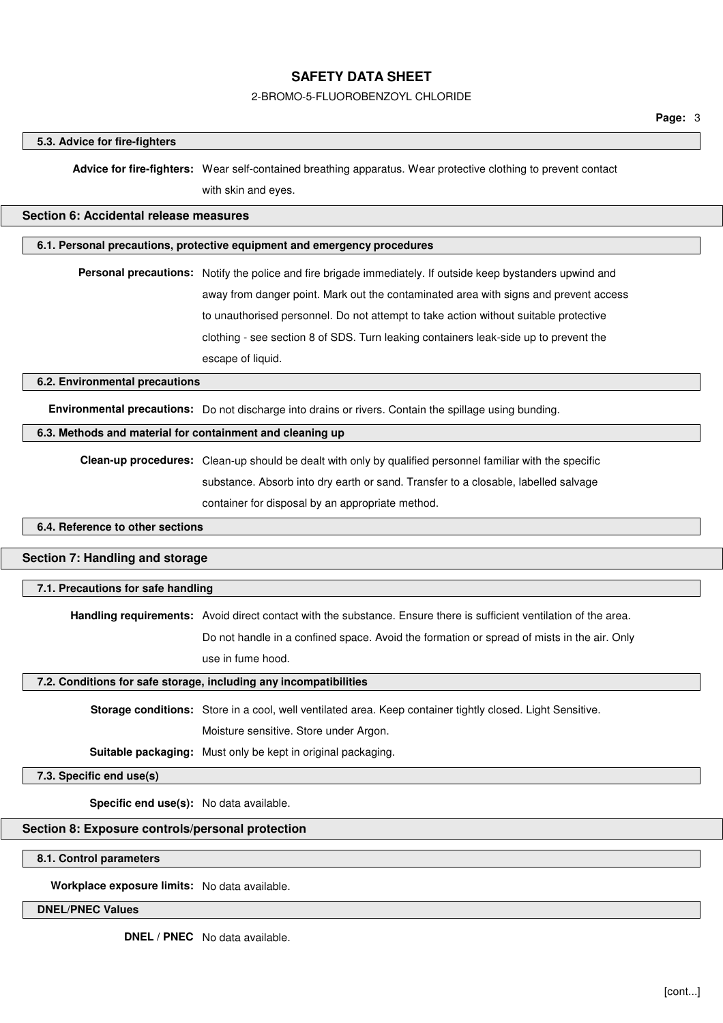## 2-BROMO-5-FLUOROBENZOYL CHLORIDE

### **5.3. Advice for fire-fighters**

**Advice for fire-fighters:** Wear self-contained breathing apparatus. Wear protective clothing to prevent contact with skin and eyes.

# **Section 6: Accidental release measures**

# **6.1. Personal precautions, protective equipment and emergency procedures**

**Personal precautions:** Notify the police and fire brigade immediately. If outside keep bystanders upwind and away from danger point. Mark out the contaminated area with signs and prevent access to unauthorised personnel. Do not attempt to take action without suitable protective clothing - see section 8 of SDS. Turn leaking containers leak-side up to prevent the escape of liquid.

### **6.2. Environmental precautions**

**Environmental precautions:** Do not discharge into drains or rivers. Contain the spillage using bunding.

# **6.3. Methods and material for containment and cleaning up**

**Clean-up procedures:** Clean-up should be dealt with only by qualified personnel familiar with the specific substance. Absorb into dry earth or sand. Transfer to a closable, labelled salvage container for disposal by an appropriate method.

### **6.4. Reference to other sections**

### **Section 7: Handling and storage**

### **7.1. Precautions for safe handling**

**Handling requirements:** Avoid direct contact with the substance. Ensure there is sufficient ventilation of the area.

Do not handle in a confined space. Avoid the formation or spread of mists in the air. Only use in fume hood.

#### **7.2. Conditions for safe storage, including any incompatibilities**

**Storage conditions:** Store in a cool, well ventilated area. Keep container tightly closed. Light Sensitive.

Moisture sensitive. Store under Argon.

**Suitable packaging:** Must only be kept in original packaging.

# **7.3. Specific end use(s)**

**Specific end use(s):** No data available.

#### **Section 8: Exposure controls/personal protection**

### **8.1. Control parameters**

**Workplace exposure limits:** No data available.

### **DNEL/PNEC Values**

**DNEL / PNEC** No data available.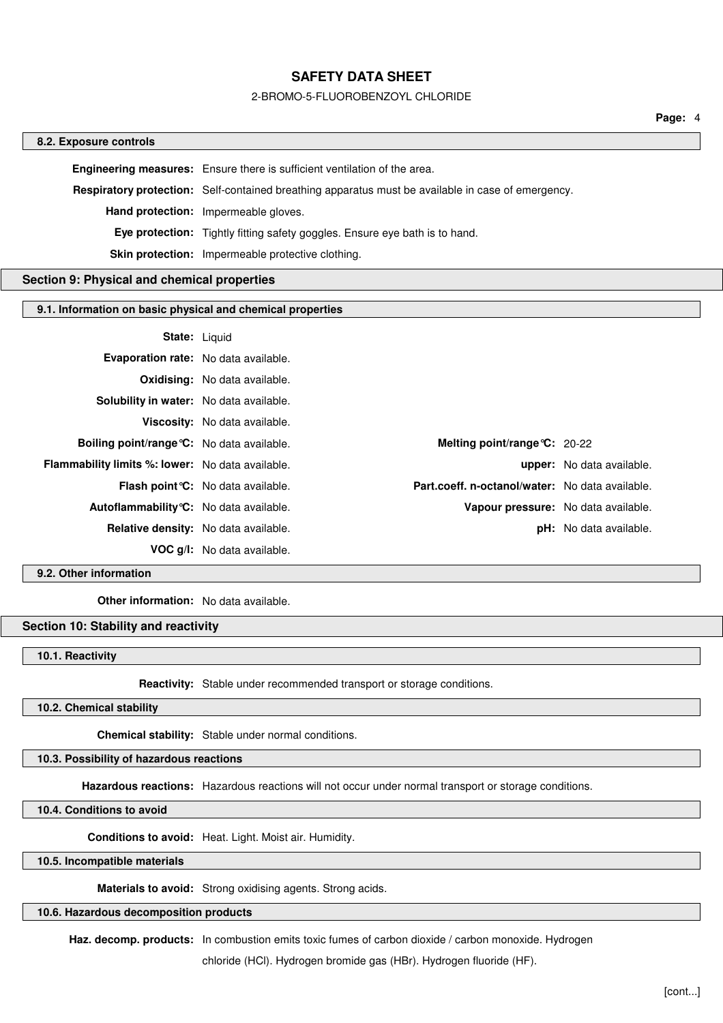### 2-BROMO-5-FLUOROBENZOYL CHLORIDE

#### **8.2. Exposure controls**

**Engineering measures:** Ensure there is sufficient ventilation of the area. **Respiratory protection:** Self-contained breathing apparatus must be available in case of emergency. **Hand protection:** Impermeable gloves. **Eye protection:** Tightly fitting safety goggles. Ensure eye bath is to hand. **Skin protection:** Impermeable protective clothing.

# **Section 9: Physical and chemical properties**

### **9.1. Information on basic physical and chemical properties**

#### **State:** Liquid

| Evaporation rate: No data available.                    |                                           |                                                 |                                  |
|---------------------------------------------------------|-------------------------------------------|-------------------------------------------------|----------------------------------|
|                                                         | <b>Oxidising:</b> No data available.      |                                                 |                                  |
| Solubility in water: No data available.                 |                                           |                                                 |                                  |
|                                                         | Viscosity: No data available.             |                                                 |                                  |
| Boiling point/range °C: No data available.              |                                           | Melting point/range $C: 20-22$                  |                                  |
| <b>Flammability limits %: lower:</b> No data available. |                                           |                                                 | <b>upper:</b> No data available. |
|                                                         | <b>Flash point °C:</b> No data available. | Part.coeff. n-octanol/water: No data available. |                                  |
| Autoflammability °C: No data available.                 |                                           | Vapour pressure: No data available.             |                                  |
| <b>Relative density:</b> No data available.             |                                           |                                                 | <b>pH:</b> No data available.    |
|                                                         | <b>VOC g/l:</b> No data available.        |                                                 |                                  |

**9.2. Other information**

**Other information:** No data available.

# **Section 10: Stability and reactivity**

**10.1. Reactivity**

**Reactivity:** Stable under recommended transport or storage conditions.

# **10.2. Chemical stability**

**Chemical stability:** Stable under normal conditions.

# **10.3. Possibility of hazardous reactions**

**Hazardous reactions:** Hazardous reactions will not occur under normal transport or storage conditions.

## **10.4. Conditions to avoid**

**Conditions to avoid:** Heat. Light. Moist air. Humidity.

# **10.5. Incompatible materials**

**Materials to avoid:** Strong oxidising agents. Strong acids.

## **10.6. Hazardous decomposition products**

**Haz. decomp. products:** In combustion emits toxic fumes of carbon dioxide / carbon monoxide. Hydrogen

chloride (HCl). Hydrogen bromide gas (HBr). Hydrogen fluoride (HF).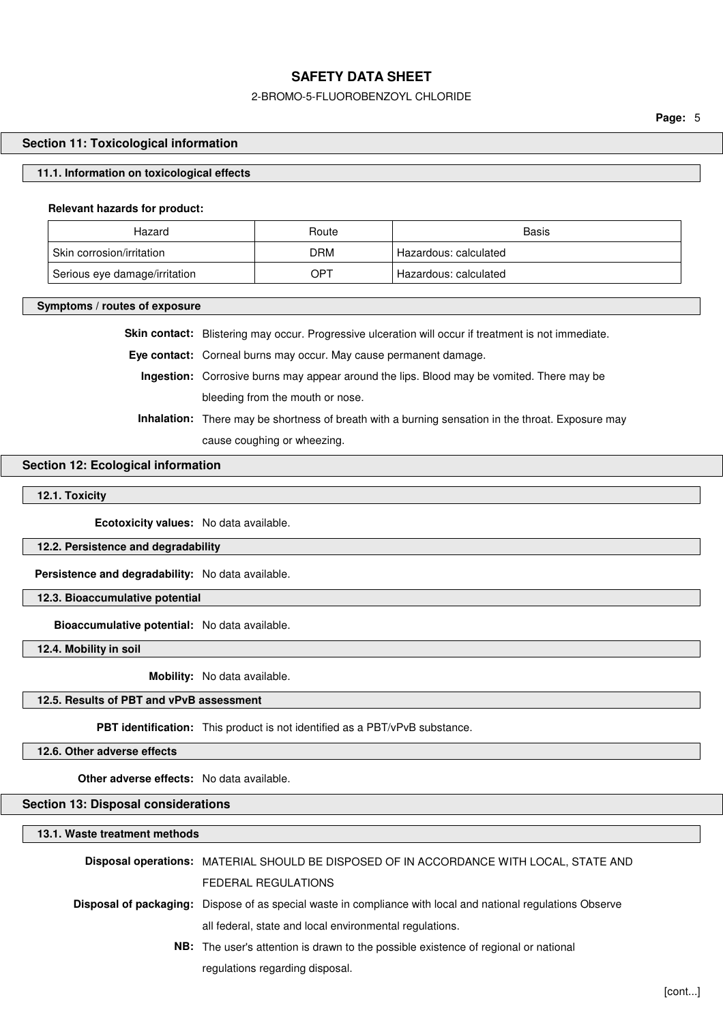### 2-BROMO-5-FLUOROBENZOYL CHLORIDE

**Page:** 5

## **Section 11: Toxicological information**

## **11.1. Information on toxicological effects**

### **Relevant hazards for product:**

| Hazard                        | Route      | Basis                   |
|-------------------------------|------------|-------------------------|
| Skin corrosion/irritation     | <b>DRM</b> | Hazardous: calculated   |
| Serious eye damage/irritation | OPT        | ' Hazardous: calculated |

**Symptoms / routes of exposure**

**Skin contact:** Blistering may occur. Progressive ulceration will occur if treatment is not immediate.

**Eye contact:** Corneal burns may occur. May cause permanent damage.

**Ingestion:** Corrosive burns may appear around the lips. Blood may be vomited. There may be bleeding from the mouth or nose.

**Inhalation:** There may be shortness of breath with a burning sensation in the throat. Exposure may cause coughing or wheezing.

## **Section 12: Ecological information**

## **12.1. Toxicity**

**Ecotoxicity values:** No data available.

### **12.2. Persistence and degradability**

**Persistence and degradability:** No data available.

**12.3. Bioaccumulative potential**

**Bioaccumulative potential:** No data available.

**12.4. Mobility in soil**

**Mobility:** No data available.

# **12.5. Results of PBT and vPvB assessment**

**PBT identification:** This product is not identified as a PBT/vPvB substance.

**12.6. Other adverse effects**

**Other adverse effects:** No data available.

### **Section 13: Disposal considerations**

**13.1. Waste treatment methods Disposal operations:** MATERIAL SHOULD BE DISPOSED OF IN ACCORDANCE WITH LOCAL, STATE AND FEDERAL REGULATIONS **Disposal of packaging:** Dispose of as special waste in compliance with local and national regulations Observe all federal, state and local environmental regulations. **NB:** The user's attention is drawn to the possible existence of regional or national regulations regarding disposal.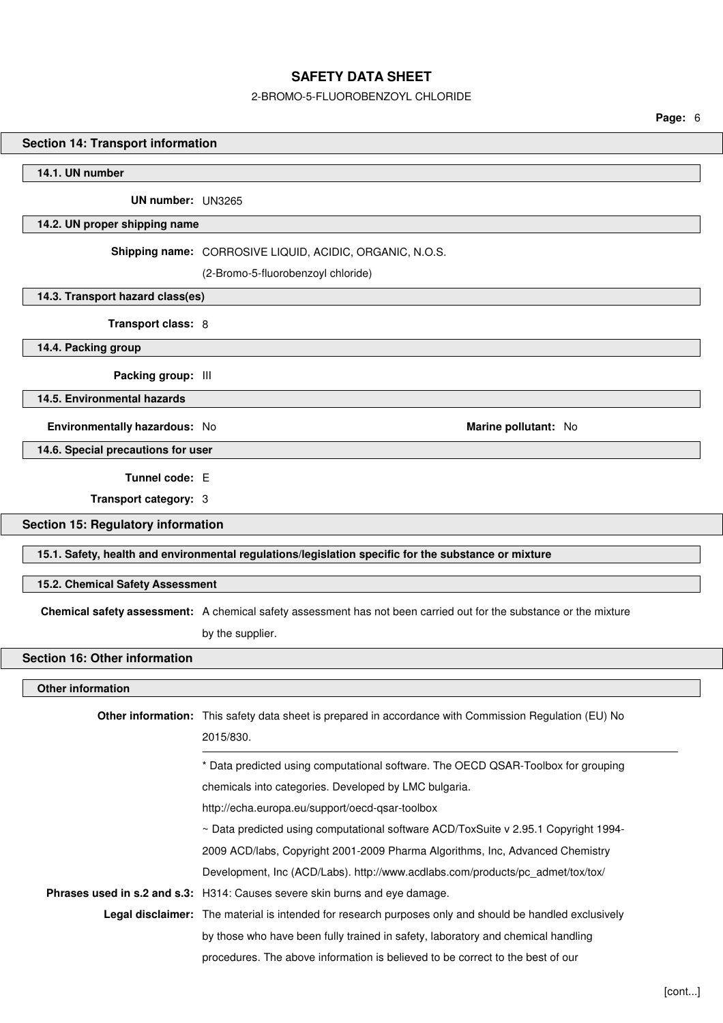## 2-BROMO-5-FLUOROBENZOYL CHLORIDE

**Page:** 6

# **Section 14: Transport information**

**14.1. UN number**

**UN number:** UN3265

## **14.2. UN proper shipping name**

**Shipping name:** CORROSIVE LIQUID, ACIDIC, ORGANIC, N.O.S.

(2-Bromo-5-fluorobenzoyl chloride)

**14.3. Transport hazard class(es)**

**Transport class:** 8

**14.4. Packing group**

**Packing group:** III

**14.5. Environmental hazards**

**14.6. Special precautions for user**

**Tunnel code:** E

**Transport category:** 3

**Section 15: Regulatory information**

**15.1. Safety, health and environmental regulations/legislation specific for the substance or mixture**

**Environmentally hazardous:** No **Marine pollutant:** No

# **15.2. Chemical Safety Assessment**

**Chemical safety assessment:** A chemical safety assessment has not been carried out for the substance or the mixture

by the supplier.

## **Section 16: Other information**

## **Other information**

| <b>Other information:</b> This safety data sheet is prepared in accordance with Commission Regulation (EU) No  |  |  |  |
|----------------------------------------------------------------------------------------------------------------|--|--|--|
| 2015/830.                                                                                                      |  |  |  |
| * Data predicted using computational software. The OECD QSAR-Toolbox for grouping                              |  |  |  |
| chemicals into categories. Developed by LMC bulgaria.                                                          |  |  |  |
| http://echa.europa.eu/support/oecd-qsar-toolbox                                                                |  |  |  |
| $\sim$ Data predicted using computational software ACD/ToxSuite v 2.95.1 Copyright 1994-                       |  |  |  |
| 2009 ACD/labs, Copyright 2001-2009 Pharma Algorithms, Inc, Advanced Chemistry                                  |  |  |  |
| Development, Inc (ACD/Labs). http://www.acdlabs.com/products/pc_admet/tox/tox/                                 |  |  |  |
| Phrases used in s.2 and s.3: H314: Causes severe skin burns and eye damage.                                    |  |  |  |
| <b>Legal disclaimer:</b> The material is intended for research purposes only and should be handled exclusively |  |  |  |
| by those who have been fully trained in safety, laboratory and chemical handling                               |  |  |  |
| procedures. The above information is believed to be correct to the best of our                                 |  |  |  |
|                                                                                                                |  |  |  |